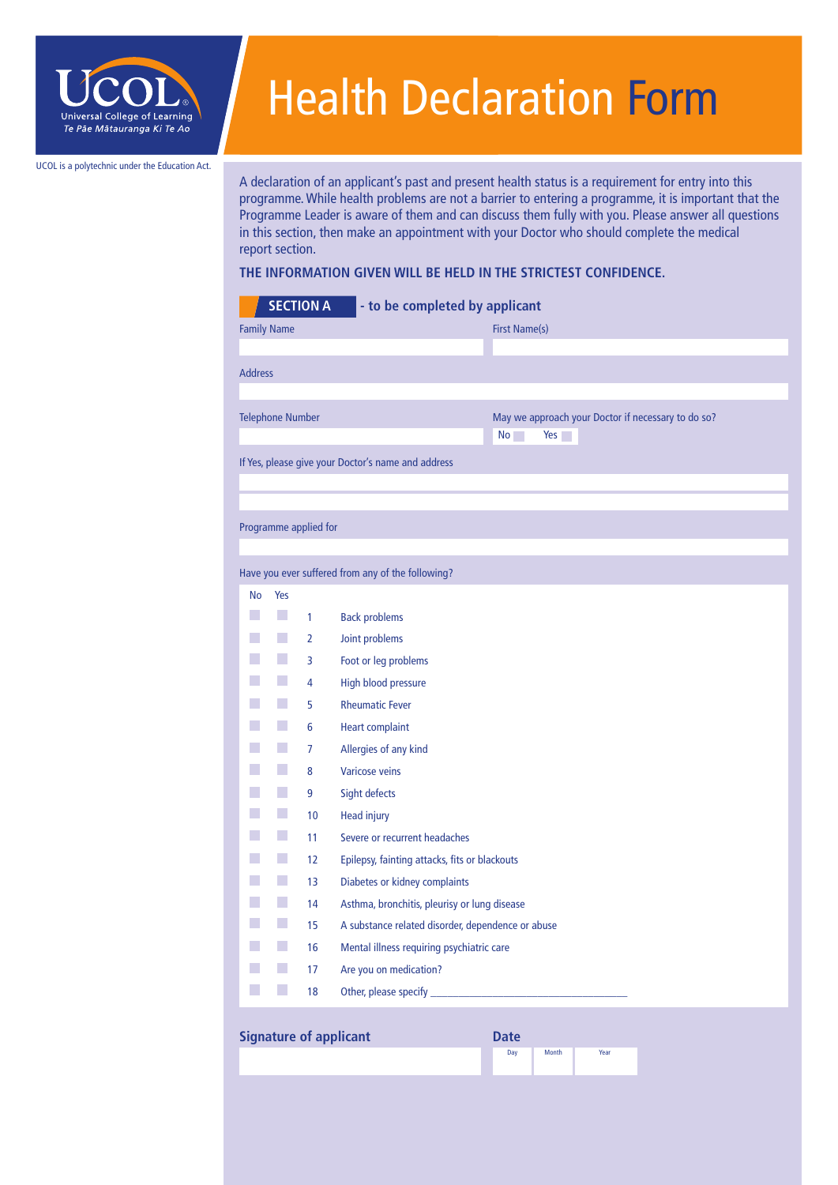

## Health Declaration Form

UCOL is a polytechnic under the Education Act.

A declaration of an applicant's past and present health status is a requirement for entry into this programme. While health problems are not a barrier to entering a programme, it is important that the Programme Leader is aware of them and can discuss them fully with you. Please answer all questions in this section, then make an appointment with your Doctor who should complete the medical report section.

## **THE INFORMATION GIVEN WILL BE HELD IN THE STRICTEST CONFIDENCE.**

|                         |              | <b>SECTION A</b> | - to be completed by applicant                     |                                                                 |
|-------------------------|--------------|------------------|----------------------------------------------------|-----------------------------------------------------------------|
| <b>Family Name</b>      |              |                  |                                                    | <b>First Name(s)</b>                                            |
|                         |              |                  |                                                    |                                                                 |
| <b>Address</b>          |              |                  |                                                    |                                                                 |
|                         |              |                  |                                                    |                                                                 |
| <b>Telephone Number</b> |              |                  |                                                    | May we approach your Doctor if necessary to do so?<br>No<br>Yes |
|                         |              |                  | If Yes, please give your Doctor's name and address |                                                                 |
|                         |              |                  |                                                    |                                                                 |
|                         |              |                  |                                                    |                                                                 |
| Programme applied for   |              |                  |                                                    |                                                                 |
|                         |              |                  |                                                    |                                                                 |
|                         |              |                  | Have you ever suffered from any of the following?  |                                                                 |
| No                      | Yes          |                  |                                                    |                                                                 |
| k.                      | h.           | $\mathbf{1}$     | <b>Back problems</b>                               |                                                                 |
|                         | h.<br>$\sim$ | $\overline{2}$   | Joint problems                                     |                                                                 |
|                         |              | 3<br>4           | Foot or leg problems<br><b>High blood pressure</b> |                                                                 |
|                         |              | 5                | <b>Rheumatic Fever</b>                             |                                                                 |
|                         |              | 6                | <b>Heart complaint</b>                             |                                                                 |
|                         |              | 7                | Allergies of any kind                              |                                                                 |
|                         | h.           | 8                | <b>Varicose veins</b>                              |                                                                 |
|                         |              | 9                | Sight defects                                      |                                                                 |
|                         | $\sim$       | 10               | <b>Head injury</b>                                 |                                                                 |
| n                       | h.           | 11               | Severe or recurrent headaches                      |                                                                 |
|                         | h.           | 12               | Epilepsy, fainting attacks, fits or blackouts      |                                                                 |
|                         | $\sim$       | 13               | Diabetes or kidney complaints                      |                                                                 |
|                         | h.           | 14               | Asthma, bronchitis, pleurisy or lung disease       |                                                                 |
|                         | h.           | 15               | A substance related disorder, dependence or abuse  |                                                                 |
|                         | $\sim$       | 16               | Mental illness requiring psychiatric care          |                                                                 |
|                         |              | 17               | Are you on medication?                             |                                                                 |
|                         |              | 18               | Other, please specify _                            |                                                                 |

## **Signature of applicant**

| <b>Date</b> |       |      |
|-------------|-------|------|
| Day         | Month | Year |